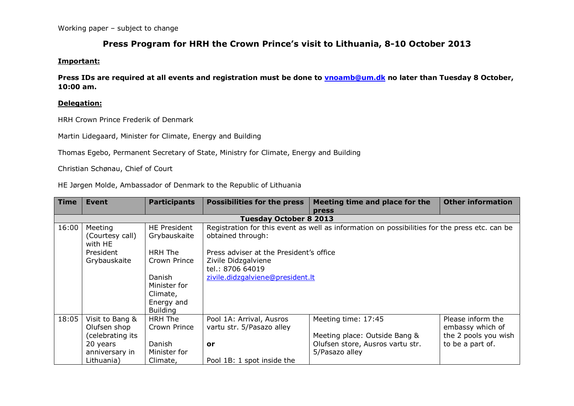# **Press Program for HRH the Crown Prince's visit to Lithuania, 8-10 October 2013**

#### **Important:**

**Press IDs are required at all events and registration must be done to [vnoamb@um.dk](mailto:vnoamb@um.dk) no later than Tuesday 8 October, 10:00 am.**

### **Delegation:**

HRH Crown Prince Frederik of Denmark

Martin Lidegaard, Minister for Climate, Energy and Building

Thomas Egebo, Permanent Secretary of State, Ministry for Climate, Energy and Building

Christian Schønau, Chief of Court

HE Jørgen Molde, Ambassador of Denmark to the Republic of Lithuania

| <b>Time</b> | <b>Event</b>               | <b>Participants</b> | <b>Possibilities for the press</b>                                                            | Meeting time and place for the   | <b>Other information</b> |  |
|-------------|----------------------------|---------------------|-----------------------------------------------------------------------------------------------|----------------------------------|--------------------------|--|
|             |                            |                     |                                                                                               | <b>press</b>                     |                          |  |
|             |                            |                     | <b>Tuesday October 8 2013</b>                                                                 |                                  |                          |  |
| 16:00       | Meeting                    | <b>HE President</b> | Registration for this event as well as information on possibilities for the press etc. can be |                                  |                          |  |
|             | (Courtesy call)<br>with HE | Grybauskaite        | obtained through:                                                                             |                                  |                          |  |
|             | President                  | HRH The             | Press adviser at the President's office                                                       |                                  |                          |  |
|             | Grybauskaite               | Crown Prince        | Zivile Didzgalviene                                                                           |                                  |                          |  |
|             |                            |                     | tel.: 8706 64019                                                                              |                                  |                          |  |
|             |                            | Danish              | zivile.didzgalviene@president.lt                                                              |                                  |                          |  |
|             |                            | Minister for        |                                                                                               |                                  |                          |  |
|             |                            | Climate,            |                                                                                               |                                  |                          |  |
|             |                            | Energy and          |                                                                                               |                                  |                          |  |
|             |                            | <b>Building</b>     |                                                                                               |                                  |                          |  |
| 18:05       | Visit to Bang &            | HRH The             | Pool 1A: Arrival, Ausros                                                                      | Meeting time: 17:45              | Please inform the        |  |
|             | Olufsen shop               | Crown Prince        | vartu str. 5/Pasazo alley                                                                     |                                  | embassy which of         |  |
|             | (celebrating its           |                     |                                                                                               | Meeting place: Outside Bang &    | the 2 pools you wish     |  |
|             | 20 years                   | Danish              | or                                                                                            | Olufsen store, Ausros vartu str. | to be a part of.         |  |
|             | anniversary in             | Minister for        |                                                                                               | 5/Pasazo alley                   |                          |  |
|             | Lithuania)                 | Climate,            | Pool 1B: 1 spot inside the                                                                    |                                  |                          |  |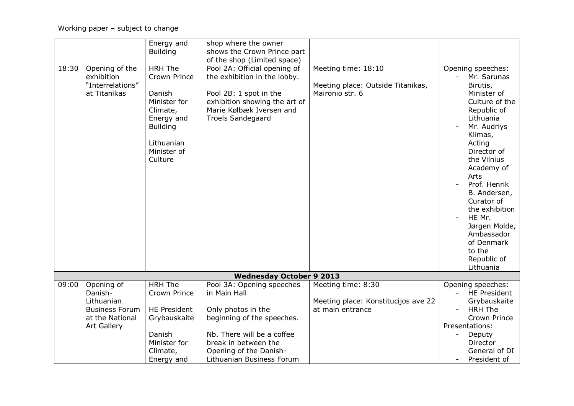|       |                                                                  | Energy and                                                                                                                                    | shop where the owner                                                                                                                                                            |                                                                             |                                                                                                                                                                                                                                                                                                                                                   |
|-------|------------------------------------------------------------------|-----------------------------------------------------------------------------------------------------------------------------------------------|---------------------------------------------------------------------------------------------------------------------------------------------------------------------------------|-----------------------------------------------------------------------------|---------------------------------------------------------------------------------------------------------------------------------------------------------------------------------------------------------------------------------------------------------------------------------------------------------------------------------------------------|
|       |                                                                  | <b>Building</b>                                                                                                                               | shows the Crown Prince part                                                                                                                                                     |                                                                             |                                                                                                                                                                                                                                                                                                                                                   |
|       |                                                                  |                                                                                                                                               | of the shop (Limited space)                                                                                                                                                     |                                                                             |                                                                                                                                                                                                                                                                                                                                                   |
| 18:30 | Opening of the<br>exhibition<br>"Interrelations"<br>at Titanikas | <b>HRH The</b><br>Crown Prince<br>Danish<br>Minister for<br>Climate,<br>Energy and<br><b>Building</b><br>Lithuanian<br>Minister of<br>Culture | Pool 2A: Official opening of<br>the exhibition in the lobby.<br>Pool 2B: 1 spot in the<br>exhibition showing the art of<br>Marie Kølbæk Iversen and<br><b>Troels Sandegaard</b> | Meeting time: 18:10<br>Meeting place: Outside Titanikas,<br>Maironio str. 6 | Opening speeches:<br>Mr. Sarunas<br>Birutis,<br>Minister of<br>Culture of the<br>Republic of<br>Lithuania<br>Mr. Audriys<br>Klimas,<br>Acting<br>Director of<br>the Vilnius<br>Academy of<br>Arts<br>Prof. Henrik<br>B. Andersen,<br>Curator of<br>the exhibition<br>HE Mr.<br>Jørgen Molde,<br>Ambassador<br>of Denmark<br>to the<br>Republic of |
|       |                                                                  |                                                                                                                                               |                                                                                                                                                                                 |                                                                             | Lithuania                                                                                                                                                                                                                                                                                                                                         |
|       |                                                                  |                                                                                                                                               | <b>Wednesday October 9 2013</b>                                                                                                                                                 |                                                                             |                                                                                                                                                                                                                                                                                                                                                   |
| 09:00 | Opening of<br>Danish-<br>Lithuanian                              | <b>HRH The</b><br>Crown Prince                                                                                                                | Pool 3A: Opening speeches<br>in Main Hall                                                                                                                                       | Meeting time: 8:30<br>Meeting place: Konstitucijos ave 22                   | Opening speeches:<br><b>HE President</b><br>Grybauskaite                                                                                                                                                                                                                                                                                          |
|       | <b>Business Forum</b><br>at the National<br><b>Art Gallery</b>   | <b>HE President</b><br>Grybauskaite                                                                                                           | Only photos in the<br>beginning of the speeches.                                                                                                                                | at main entrance                                                            | <b>HRH The</b><br>Crown Prince<br>Presentations:                                                                                                                                                                                                                                                                                                  |
|       |                                                                  | Danish<br>Minister for<br>Climate,<br>Energy and                                                                                              | Nb. There will be a coffee<br>break in between the<br>Opening of the Danish-<br>Lithuanian Business Forum                                                                       |                                                                             | Deputy<br>Director<br>General of DI<br>President of                                                                                                                                                                                                                                                                                               |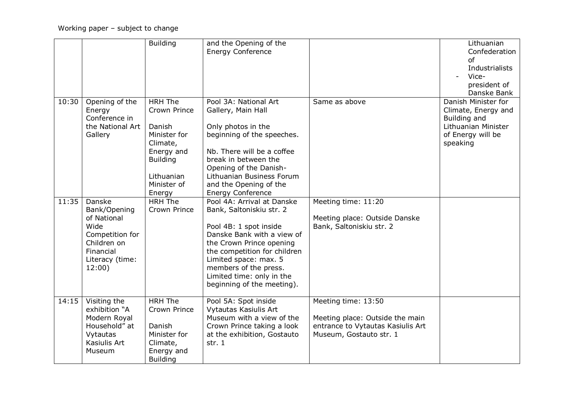|       |                                                                                                                           | <b>Building</b>                                                                                                                              | and the Opening of the<br><b>Energy Conference</b>                                                                                                                                                                                                                                      |                                                                                                                        | Lithuanian<br>Confederation<br>of<br>Industrialists<br>Vice-<br>president of<br>Danske Bank                        |
|-------|---------------------------------------------------------------------------------------------------------------------------|----------------------------------------------------------------------------------------------------------------------------------------------|-----------------------------------------------------------------------------------------------------------------------------------------------------------------------------------------------------------------------------------------------------------------------------------------|------------------------------------------------------------------------------------------------------------------------|--------------------------------------------------------------------------------------------------------------------|
| 10:30 | Opening of the<br>Energy<br>Conference in<br>the National Art<br>Gallery                                                  | <b>HRH The</b><br>Crown Prince<br>Danish<br>Minister for<br>Climate,<br>Energy and<br><b>Building</b><br>Lithuanian<br>Minister of<br>Energy | Pool 3A: National Art<br>Gallery, Main Hall<br>Only photos in the<br>beginning of the speeches.<br>Nb. There will be a coffee<br>break in between the<br>Opening of the Danish-<br>Lithuanian Business Forum<br>and the Opening of the<br><b>Energy Conference</b>                      | Same as above                                                                                                          | Danish Minister for<br>Climate, Energy and<br>Building and<br>Lithuanian Minister<br>of Energy will be<br>speaking |
| 11:35 | Danske<br>Bank/Opening<br>of National<br>Wide<br>Competition for<br>Children on<br>Financial<br>Literacy (time:<br>12:00) | <b>HRH The</b><br>Crown Prince                                                                                                               | Pool 4A: Arrival at Danske<br>Bank, Saltoniskiu str. 2<br>Pool 4B: 1 spot inside<br>Danske Bank with a view of<br>the Crown Prince opening<br>the competition for children<br>Limited space: max. 5<br>members of the press.<br>Limited time: only in the<br>beginning of the meeting). | Meeting time: 11:20<br>Meeting place: Outside Danske<br>Bank, Saltoniskiu str. 2                                       |                                                                                                                    |
| 14:15 | Visiting the<br>exhibition "A<br>Modern Royal<br>Household" at<br>Vytautas<br>Kasiulis Art<br>Museum                      | <b>HRH The</b><br>Crown Prince<br>Danish<br>Minister for<br>Climate,<br>Energy and<br><b>Building</b>                                        | Pool 5A: Spot inside<br>Vytautas Kasiulis Art<br>Museum with a view of the<br>Crown Prince taking a look<br>at the exhibition, Gostauto<br>str. $1$                                                                                                                                     | Meeting time: 13:50<br>Meeting place: Outside the main<br>entrance to Vytautas Kasiulis Art<br>Museum, Gostauto str. 1 |                                                                                                                    |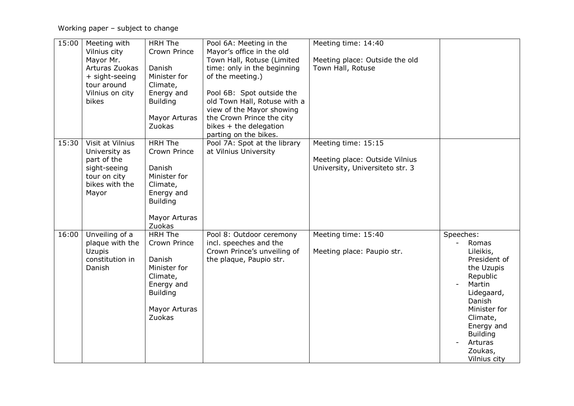Working paper – subject to change

| 15:00 | Meeting with<br>Vilnius city<br>Mayor Mr.<br>Arturas Zuokas<br>+ sight-seeing<br>tour around<br>Vilnius on city<br>bikes | <b>HRH The</b><br>Crown Prince<br>Danish<br>Minister for<br>Climate,<br>Energy and<br><b>Building</b><br><b>Mayor Arturas</b><br>Zuokas | Pool 6A: Meeting in the<br>Mayor's office in the old<br>Town Hall, Rotuse (Limited<br>time: only in the beginning<br>of the meeting.)<br>Pool 6B: Spot outside the<br>old Town Hall, Rotuse with a<br>view of the Mayor showing<br>the Crown Prince the city<br>bikes + the delegation<br>parting on the bikes. | Meeting time: 14:40<br>Meeting place: Outside the old<br>Town Hall, Rotuse               |                                                                                                                                                                                                                |
|-------|--------------------------------------------------------------------------------------------------------------------------|-----------------------------------------------------------------------------------------------------------------------------------------|-----------------------------------------------------------------------------------------------------------------------------------------------------------------------------------------------------------------------------------------------------------------------------------------------------------------|------------------------------------------------------------------------------------------|----------------------------------------------------------------------------------------------------------------------------------------------------------------------------------------------------------------|
| 15:30 | Visit at Vilnius<br>University as<br>part of the<br>sight-seeing<br>tour on city<br>bikes with the<br>Mayor              | <b>HRH The</b><br>Crown Prince<br>Danish<br>Minister for<br>Climate,<br>Energy and<br><b>Building</b><br>Mayor Arturas<br>Zuokas        | Pool 7A: Spot at the library<br>at Vilnius University                                                                                                                                                                                                                                                           | Meeting time: 15:15<br>Meeting place: Outside Vilnius<br>University, Universiteto str. 3 |                                                                                                                                                                                                                |
| 16:00 | Unveiling of a<br>plaque with the<br><b>Uzupis</b><br>constitution in<br>Danish                                          | <b>HRH The</b><br>Crown Prince<br>Danish<br>Minister for<br>Climate,<br>Energy and<br><b>Building</b><br>Mayor Arturas<br>Zuokas        | Pool 8: Outdoor ceremony<br>incl. speeches and the<br>Crown Prince's unveiling of<br>the plaque, Paupio str.                                                                                                                                                                                                    | Meeting time: 15:40<br>Meeting place: Paupio str.                                        | Speeches:<br>Romas<br>Lileikis,<br>President of<br>the Uzupis<br>Republic<br>Martin<br>Lidegaard,<br>Danish<br>Minister for<br>Climate,<br>Energy and<br><b>Building</b><br>Arturas<br>Zoukas,<br>Vilnius city |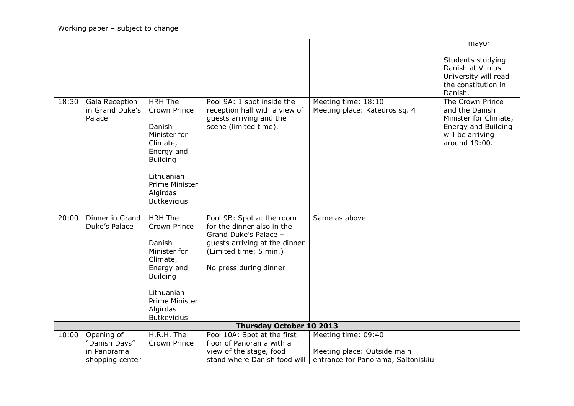|       |                           |                    |                                                          |                                    | mayor                                   |
|-------|---------------------------|--------------------|----------------------------------------------------------|------------------------------------|-----------------------------------------|
|       |                           |                    |                                                          |                                    | Students studying                       |
|       |                           |                    |                                                          |                                    | Danish at Vilnius                       |
|       |                           |                    |                                                          |                                    | University will read                    |
|       |                           |                    |                                                          |                                    | the constitution in                     |
|       |                           |                    |                                                          |                                    | Danish.                                 |
| 18:30 | Gala Reception            | <b>HRH The</b>     | Pool 9A: 1 spot inside the                               | Meeting time: 18:10                | The Crown Prince                        |
|       | in Grand Duke's<br>Palace | Crown Prince       | reception hall with a view of<br>guests arriving and the | Meeting place: Katedros sq. 4      | and the Danish<br>Minister for Climate, |
|       |                           | Danish             | scene (limited time).                                    |                                    | Energy and Building                     |
|       |                           | Minister for       |                                                          |                                    | will be arriving                        |
|       |                           | Climate,           |                                                          |                                    | around 19:00.                           |
|       |                           | Energy and         |                                                          |                                    |                                         |
|       |                           | <b>Building</b>    |                                                          |                                    |                                         |
|       |                           | Lithuanian         |                                                          |                                    |                                         |
|       |                           | Prime Minister     |                                                          |                                    |                                         |
|       |                           | Algirdas           |                                                          |                                    |                                         |
|       |                           | <b>Butkevicius</b> |                                                          |                                    |                                         |
|       |                           |                    |                                                          |                                    |                                         |
| 20:00 | Dinner in Grand           | <b>HRH The</b>     | Pool 9B: Spot at the room                                | Same as above                      |                                         |
|       | Duke's Palace             | Crown Prince       | for the dinner also in the<br>Grand Duke's Palace -      |                                    |                                         |
|       |                           | Danish             | guests arriving at the dinner                            |                                    |                                         |
|       |                           | Minister for       | (Limited time: 5 min.)                                   |                                    |                                         |
|       |                           | Climate,           |                                                          |                                    |                                         |
|       |                           | Energy and         | No press during dinner                                   |                                    |                                         |
|       |                           | <b>Building</b>    |                                                          |                                    |                                         |
|       |                           |                    |                                                          |                                    |                                         |
|       |                           | Lithuanian         |                                                          |                                    |                                         |
|       |                           | Prime Minister     |                                                          |                                    |                                         |
|       |                           | Algirdas           |                                                          |                                    |                                         |
|       |                           | <b>Butkevicius</b> | <b>Thursday October 10 2013</b>                          |                                    |                                         |
| 10:00 | Opening of                | H.R.H. The         | Pool 10A: Spot at the first                              | Meeting time: 09:40                |                                         |
|       | "Danish Days"             | Crown Prince       | floor of Panorama with a                                 |                                    |                                         |
|       | in Panorama               |                    | view of the stage, food                                  | Meeting place: Outside main        |                                         |
|       | shopping center           |                    | stand where Danish food will                             | entrance for Panorama, Saltoniskiu |                                         |